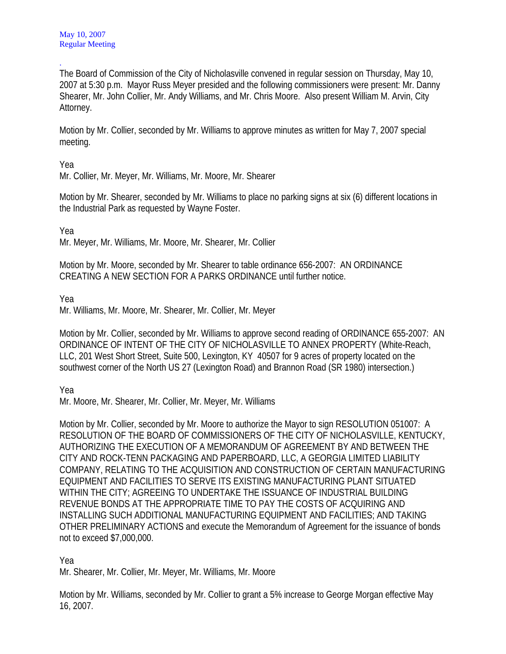. The Board of Commission of the City of Nicholasville convened in regular session on Thursday, May 10, 2007 at 5:30 p.m. Mayor Russ Meyer presided and the following commissioners were present: Mr. Danny Shearer, Mr. John Collier, Mr. Andy Williams, and Mr. Chris Moore. Also present William M. Arvin, City Attorney.

Motion by Mr. Collier, seconded by Mr. Williams to approve minutes as written for May 7, 2007 special meeting.

Yea

Mr. Collier, Mr. Meyer, Mr. Williams, Mr. Moore, Mr. Shearer

Motion by Mr. Shearer, seconded by Mr. Williams to place no parking signs at six (6) different locations in the Industrial Park as requested by Wayne Foster.

Yea

Mr. Meyer, Mr. Williams, Mr. Moore, Mr. Shearer, Mr. Collier

Motion by Mr. Moore, seconded by Mr. Shearer to table ordinance 656-2007: AN ORDINANCE CREATING A NEW SECTION FOR A PARKS ORDINANCE until further notice.

Yea

Mr. Williams, Mr. Moore, Mr. Shearer, Mr. Collier, Mr. Meyer

Motion by Mr. Collier, seconded by Mr. Williams to approve second reading of ORDINANCE 655-2007: AN ORDINANCE OF INTENT OF THE CITY OF NICHOLASVILLE TO ANNEX PROPERTY (White-Reach, LLC, 201 West Short Street, Suite 500, Lexington, KY 40507 for 9 acres of property located on the southwest corner of the North US 27 (Lexington Road) and Brannon Road (SR 1980) intersection.)

Yea

Mr. Moore, Mr. Shearer, Mr. Collier, Mr. Meyer, Mr. Williams

Motion by Mr. Collier, seconded by Mr. Moore to authorize the Mayor to sign RESOLUTION 051007: A RESOLUTION OF THE BOARD OF COMMISSIONERS OF THE CITY OF NICHOLASVILLE, KENTUCKY, AUTHORIZING THE EXECUTION OF A MEMORANDUM OF AGREEMENT BY AND BETWEEN THE CITY AND ROCK-TENN PACKAGING AND PAPERBOARD, LLC, A GEORGIA LIMITED LIABILITY COMPANY, RELATING TO THE ACQUISITION AND CONSTRUCTION OF CERTAIN MANUFACTURING EQUIPMENT AND FACILITIES TO SERVE ITS EXISTING MANUFACTURING PLANT SITUATED WITHIN THE CITY; AGREEING TO UNDERTAKE THE ISSUANCE OF INDUSTRIAL BUILDING REVENUE BONDS AT THE APPROPRIATE TIME TO PAY THE COSTS OF ACQUIRING AND INSTALLING SUCH ADDITIONAL MANUFACTURING EQUIPMENT AND FACILITIES; AND TAKING OTHER PRELIMINARY ACTIONS and execute the Memorandum of Agreement for the issuance of bonds not to exceed \$7,000,000.

Yea

Mr. Shearer, Mr. Collier, Mr. Meyer, Mr. Williams, Mr. Moore

Motion by Mr. Williams, seconded by Mr. Collier to grant a 5% increase to George Morgan effective May 16, 2007.